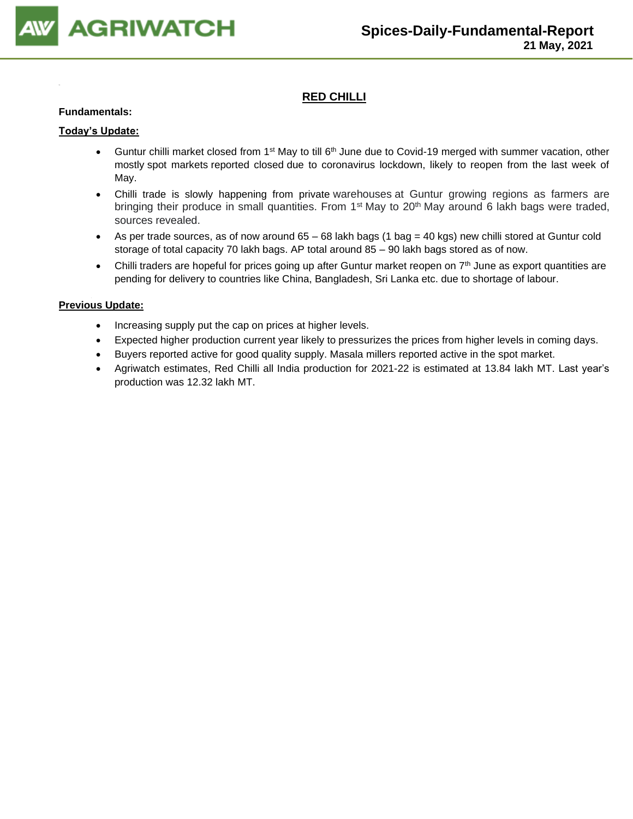

## **RED CHILLI**

#### **Fundamentals:**

#### **Today's Update:**

- Guntur chilli market closed from 1<sup>st</sup> May to till 6<sup>th</sup> June due to Covid-19 merged with summer vacation, other mostly spot markets reported closed due to coronavirus lockdown, likely to reopen from the last week of May.
- Chilli trade is slowly happening from private warehouses at Guntur growing regions as farmers are bringing their produce in small quantities. From 1<sup>st</sup> May to 20<sup>th</sup> May around 6 lakh bags were traded, sources revealed.
- As per trade sources, as of now around 65 68 lakh bags (1 bag = 40 kgs) new chilli stored at Guntur cold storage of total capacity 70 lakh bags. AP total around 85 – 90 lakh bags stored as of now.
- Chilli traders are hopeful for prices going up after Guntur market reopen on 7<sup>th</sup> June as export quantities are pending for delivery to countries like China, Bangladesh, Sri Lanka etc. due to shortage of labour.

- Increasing supply put the cap on prices at higher levels.
- Expected higher production current year likely to pressurizes the prices from higher levels in coming days.
- Buyers reported active for good quality supply. Masala millers reported active in the spot market.
- Agriwatch estimates, Red Chilli all India production for 2021-22 is estimated at 13.84 lakh MT. Last year's production was 12.32 lakh MT.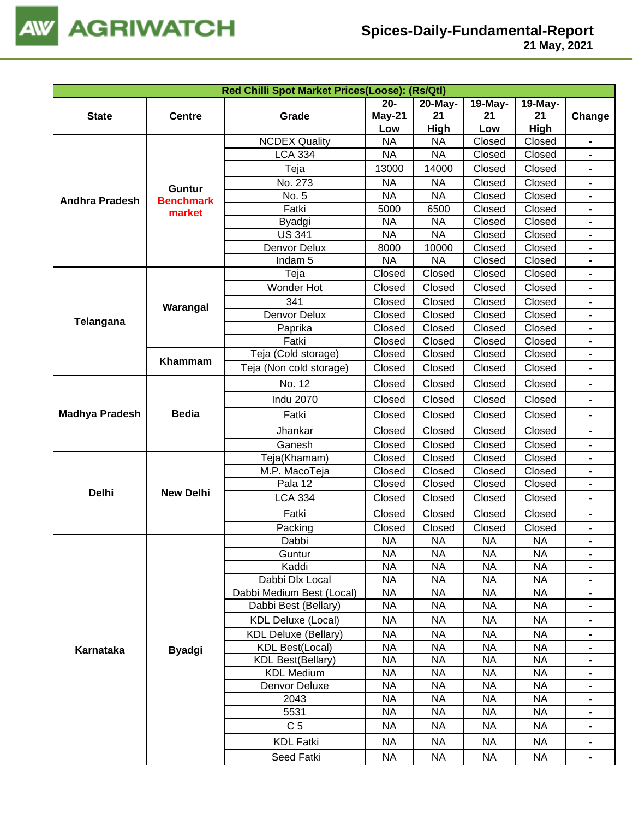

|                       |                  | Red Chilli Spot Market Prices(Loose): (Rs/Qtl) |                   |                        |                  |                  |                |
|-----------------------|------------------|------------------------------------------------|-------------------|------------------------|------------------|------------------|----------------|
|                       |                  |                                                | $20 -$            | 20-May-                | 19-May-          | 19-May-          |                |
| <b>State</b>          | <b>Centre</b>    | Grade                                          | May-21            | 21                     | 21               | 21               | Change         |
|                       |                  |                                                | Low               | High                   | Low              | High             |                |
|                       |                  | <b>NCDEX Quality</b><br><b>LCA 334</b>         | <b>NA</b>         | <b>NA</b><br><b>NA</b> | Closed           | Closed<br>Closed |                |
|                       |                  |                                                | <b>NA</b>         |                        | Closed           |                  |                |
|                       |                  | Teja                                           | 13000             | 14000                  | Closed           | Closed           |                |
|                       | <b>Guntur</b>    | No. 273                                        | <b>NA</b>         | <b>NA</b>              | Closed           | Closed           | $\blacksquare$ |
| <b>Andhra Pradesh</b> | <b>Benchmark</b> | No. 5                                          | <b>NA</b>         | <b>NA</b>              | Closed           | Closed           |                |
|                       | market           | Fatki                                          | 5000<br><b>NA</b> | 6500<br><b>NA</b>      | Closed<br>Closed | Closed<br>Closed |                |
|                       |                  | Byadgi<br><b>US 341</b>                        | <b>NA</b>         | <b>NA</b>              | Closed           | Closed           |                |
|                       |                  | Denvor Delux                                   | 8000              | 10000                  | Closed           | Closed           |                |
|                       |                  | Indam <sub>5</sub>                             | <b>NA</b>         | <b>NA</b>              | Closed           | Closed           |                |
|                       |                  | Teja                                           | Closed            | Closed                 | Closed           | Closed           |                |
|                       |                  | Wonder Hot                                     | Closed            | Closed                 | Closed           | Closed           |                |
|                       |                  | 341                                            | Closed            | Closed                 | Closed           | Closed           |                |
|                       | Warangal         | Denvor Delux                                   | Closed            | Closed                 | Closed           | Closed           |                |
| Telangana             |                  | Paprika                                        | Closed            | Closed                 | Closed           | Closed           |                |
|                       |                  | Fatki                                          | Closed            | Closed                 | Closed           | Closed           |                |
|                       |                  | Teja (Cold storage)                            | Closed            | Closed                 | Closed           | Closed           |                |
|                       | Khammam          | Teja (Non cold storage)                        | Closed            | Closed                 | Closed           | Closed           |                |
|                       |                  | No. 12                                         | Closed            | Closed                 | Closed           | Closed           |                |
|                       |                  | <b>Indu 2070</b>                               | Closed            | Closed                 | Closed           | Closed           | $\blacksquare$ |
| <b>Madhya Pradesh</b> | <b>Bedia</b>     | Fatki                                          | Closed            | Closed                 | Closed           | Closed           |                |
|                       |                  | Jhankar                                        | Closed            | Closed                 | Closed           | Closed           | $\blacksquare$ |
|                       |                  | Ganesh                                         | Closed            | Closed                 | Closed           | Closed           |                |
|                       |                  | Teja(Khamam)                                   | Closed            | Closed                 | Closed           | Closed           |                |
|                       |                  | M.P. MacoTeja                                  | Closed            | Closed                 | Closed           | Closed           |                |
|                       | <b>New Delhi</b> | Pala 12                                        | Closed            | Closed                 | Closed           | Closed           |                |
| <b>Delhi</b>          |                  | <b>LCA 334</b>                                 | Closed            | Closed                 | Closed           | Closed           | -              |
|                       |                  | Fatki                                          | Closed            | Closed                 | Closed           | Closed           | $\blacksquare$ |
|                       |                  | Packing                                        | Closed            | Closed                 | Closed           | Closed           |                |
|                       |                  | Dabbi                                          | <b>NA</b>         | <b>NA</b>              | <b>NA</b>        | NA               |                |
|                       |                  | Guntur                                         | <b>NA</b>         | <b>NA</b>              | <b>NA</b>        | <b>NA</b>        | $\blacksquare$ |
|                       |                  | Kaddi                                          | <b>NA</b>         | <b>NA</b>              | <b>NA</b>        | <b>NA</b>        | $\blacksquare$ |
|                       |                  | Dabbi Dlx Local                                | <b>NA</b>         | <b>NA</b>              | <b>NA</b>        | <b>NA</b>        | $\blacksquare$ |
|                       |                  | Dabbi Medium Best (Local)                      | <b>NA</b>         | <b>NA</b>              | <b>NA</b>        | <b>NA</b>        | $\blacksquare$ |
|                       |                  | Dabbi Best (Bellary)                           | <b>NA</b>         | <b>NA</b>              | <b>NA</b>        | <b>NA</b>        |                |
|                       |                  | <b>KDL Deluxe (Local)</b>                      | <b>NA</b>         | NA                     | <b>NA</b>        | <b>NA</b>        |                |
|                       |                  | <b>KDL Deluxe (Bellary)</b>                    | <b>NA</b>         | <b>NA</b>              | <b>NA</b>        | <b>NA</b>        |                |
| Karnataka             | <b>Byadgi</b>    | <b>KDL Best(Local)</b>                         | <b>NA</b>         | <b>NA</b>              | <b>NA</b>        | <b>NA</b>        |                |
|                       |                  | <b>KDL Best(Bellary)</b>                       | <b>NA</b>         | <b>NA</b>              | <b>NA</b>        | <b>NA</b>        | $\blacksquare$ |
|                       |                  | <b>KDL Medium</b>                              | <b>NA</b>         | <b>NA</b>              | <b>NA</b>        | <b>NA</b>        | $\blacksquare$ |
|                       |                  | Denvor Deluxe                                  | <b>NA</b>         | <b>NA</b>              | <b>NA</b>        | <b>NA</b>        | $\blacksquare$ |
|                       |                  | 2043                                           | <b>NA</b>         | <b>NA</b>              | <b>NA</b>        | <b>NA</b>        |                |
|                       |                  | 5531                                           | <b>NA</b>         | <b>NA</b>              | <b>NA</b>        | <b>NA</b>        |                |
|                       |                  | C <sub>5</sub>                                 | <b>NA</b>         | <b>NA</b>              | <b>NA</b>        | <b>NA</b>        |                |
|                       |                  | <b>KDL Fatki</b>                               | <b>NA</b>         | <b>NA</b>              | <b>NA</b>        | <b>NA</b>        | $\blacksquare$ |
|                       |                  | Seed Fatki                                     | <b>NA</b>         | NA                     | <b>NA</b>        | <b>NA</b>        |                |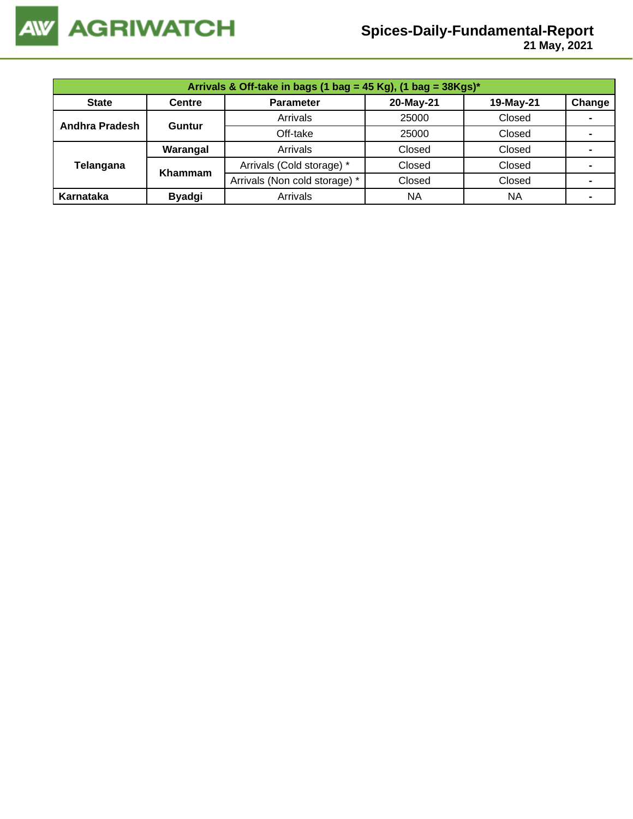

| Arrivals & Off-take in bags (1 bag = 45 Kg), (1 bag = $38Kgs$ )* |                |                               |           |           |        |  |  |  |
|------------------------------------------------------------------|----------------|-------------------------------|-----------|-----------|--------|--|--|--|
| <b>State</b>                                                     | <b>Centre</b>  | <b>Parameter</b>              | 20-May-21 | 19-May-21 | Change |  |  |  |
| Andhra Pradesh                                                   | Guntur         | Arrivals                      | 25000     | Closed    |        |  |  |  |
|                                                                  |                | Off-take                      | 25000     | Closed    |        |  |  |  |
|                                                                  | Warangal       | Arrivals                      | Closed    | Closed    |        |  |  |  |
| Telangana                                                        | <b>Khammam</b> | Arrivals (Cold storage) *     | Closed    | Closed    |        |  |  |  |
|                                                                  |                | Arrivals (Non cold storage) * | Closed    | Closed    |        |  |  |  |
| Karnataka                                                        | <b>Byadgi</b>  | Arrivals                      | <b>NA</b> | ΝA        |        |  |  |  |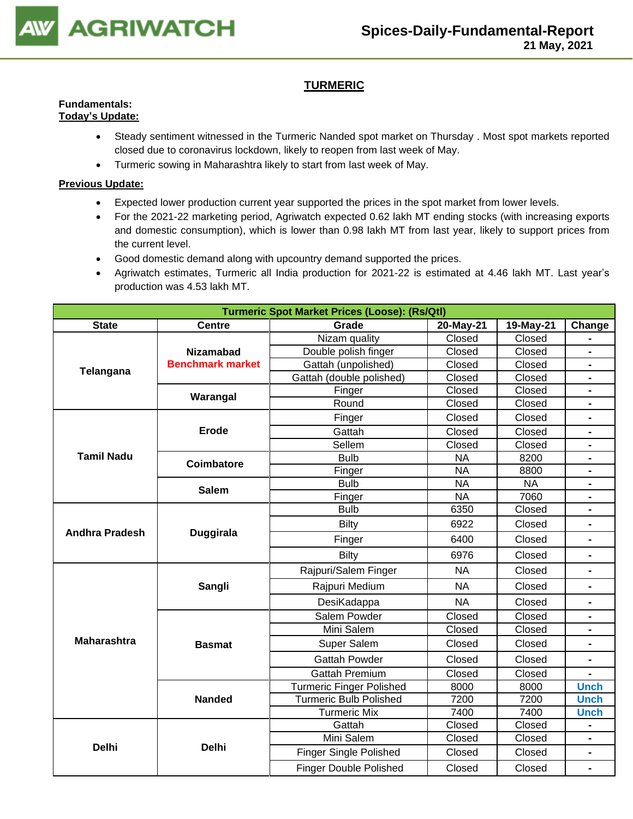

## **TURMERIC**

#### **Fundamentals: Today's Update:**

- Steady sentiment witnessed in the Turmeric Nanded spot market on Thursday . Most spot markets reported closed due to coronavirus lockdown, likely to reopen from last week of May.
- Turmeric sowing in Maharashtra likely to start from last week of May.

- Expected lower production current year supported the prices in the spot market from lower levels.
- For the 2021-22 marketing period, Agriwatch expected 0.62 lakh MT ending stocks (with increasing exports and domestic consumption), which is lower than 0.98 lakh MT from last year, likely to support prices from the current level.
- Good domestic demand along with upcountry demand supported the prices.
- Agriwatch estimates, Turmeric all India production for 2021-22 is estimated at 4.46 lakh MT. Last year's production was 4.53 lakh MT.

|                       |                         | <b>Turmeric Spot Market Prices (Loose): (Rs/Qtl)</b> |           |           |                |
|-----------------------|-------------------------|------------------------------------------------------|-----------|-----------|----------------|
| <b>State</b>          | <b>Centre</b>           | Grade<br>20-May-21<br>19-May-21                      |           |           |                |
|                       |                         | Nizam quality                                        | Closed    | Closed    |                |
|                       | <b>Nizamabad</b>        | Double polish finger                                 | Closed    | Closed    | $\blacksquare$ |
| Telangana             | <b>Benchmark market</b> | Gattah (unpolished)                                  | Closed    | Closed    | $\blacksquare$ |
|                       |                         | Gattah (double polished)                             | Closed    | Closed    |                |
|                       | Warangal                | Finger                                               | Closed    | Closed    |                |
|                       |                         | Round                                                | Closed    | Closed    |                |
|                       |                         | Finger                                               | Closed    | Closed    |                |
|                       | <b>Erode</b>            | Gattah                                               | Closed    | Closed    |                |
|                       |                         | Sellem                                               | Closed    | Closed    |                |
| <b>Tamil Nadu</b>     | <b>Coimbatore</b>       | <b>Bulb</b>                                          | <b>NA</b> | 8200      |                |
|                       |                         | Finger                                               | <b>NA</b> | 8800      |                |
|                       | <b>Salem</b>            | <b>Bulb</b>                                          | <b>NA</b> | <b>NA</b> | $\blacksquare$ |
|                       |                         | Finger                                               | <b>NA</b> | 7060      | $\blacksquare$ |
|                       |                         | <b>Bulb</b>                                          | 6350      | Closed    | $\blacksquare$ |
|                       |                         | <b>Bilty</b>                                         | 6922      | Closed    | $\blacksquare$ |
| <b>Andhra Pradesh</b> | <b>Duggirala</b>        | Finger                                               | 6400      | Closed    |                |
|                       |                         | Bilty                                                | 6976      | Closed    |                |
|                       |                         | Rajpuri/Salem Finger                                 | <b>NA</b> | Closed    |                |
|                       | Sangli                  | Rajpuri Medium                                       | <b>NA</b> | Closed    | $\blacksquare$ |
|                       |                         | DesiKadappa                                          | <b>NA</b> | Closed    |                |
|                       |                         | Salem Powder                                         | Closed    | Closed    |                |
|                       |                         | Mini Salem                                           | Closed    | Closed    |                |
| <b>Maharashtra</b>    | <b>Basmat</b>           | Super Salem                                          | Closed    | Closed    | $\blacksquare$ |
|                       |                         | <b>Gattah Powder</b>                                 | Closed    | Closed    |                |
|                       |                         | <b>Gattah Premium</b>                                | Closed    | Closed    |                |
|                       |                         | <b>Turmeric Finger Polished</b>                      | 8000      | 8000      | <b>Unch</b>    |
|                       | <b>Nanded</b>           | <b>Turmeric Bulb Polished</b>                        | 7200      | 7200      | <b>Unch</b>    |
|                       |                         | <b>Turmeric Mix</b>                                  | 7400      | 7400      | <b>Unch</b>    |
|                       |                         | Gattah                                               | Closed    | Closed    | $\blacksquare$ |
|                       |                         | Mini Salem                                           | Closed    | Closed    | $\blacksquare$ |
| <b>Delhi</b>          | <b>Delhi</b>            | <b>Finger Single Polished</b>                        | Closed    | Closed    |                |
|                       |                         | <b>Finger Double Polished</b>                        | Closed    | Closed    | $\blacksquare$ |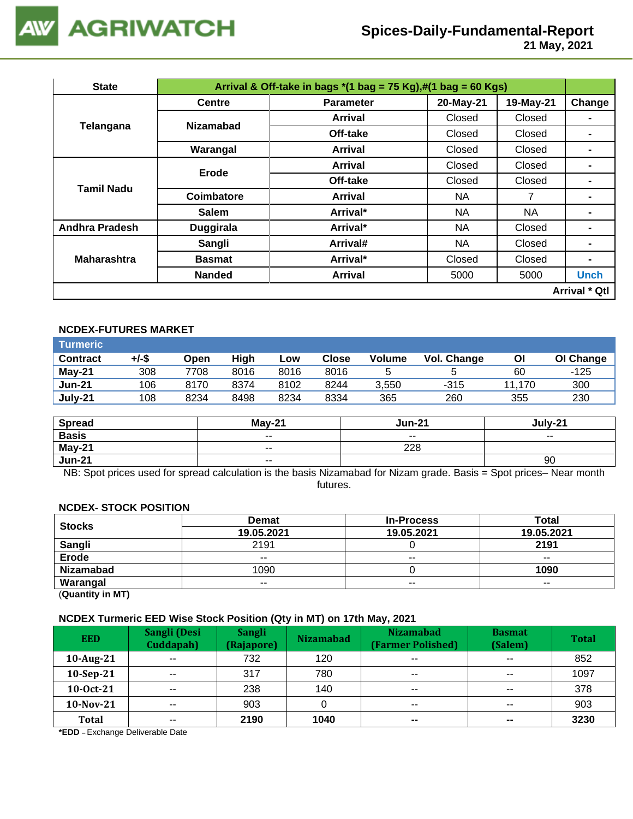

 **21 May, 2021**

| <b>State</b>          |                  | Arrival & Off-take in bags $*(1 \text{ bag} = 75 \text{ Kg}), \#(1 \text{ bag} = 60 \text{ Kg})$ |           |           |                      |
|-----------------------|------------------|--------------------------------------------------------------------------------------------------|-----------|-----------|----------------------|
|                       | <b>Centre</b>    | <b>Parameter</b>                                                                                 | 20-May-21 | 19-May-21 | Change               |
|                       | <b>Nizamabad</b> | <b>Arrival</b>                                                                                   | Closed    | Closed    |                      |
| Telangana             |                  | Off-take                                                                                         | Closed    | Closed    |                      |
|                       | Warangal         | <b>Arrival</b>                                                                                   | Closed    | Closed    |                      |
| <b>Tamil Nadu</b>     | Erode            | <b>Arrival</b>                                                                                   | Closed    | Closed    |                      |
|                       |                  | Off-take                                                                                         | Closed    | Closed    |                      |
|                       | Coimbatore       | <b>Arrival</b>                                                                                   | NA.       | 7         |                      |
|                       | <b>Salem</b>     | Arrival*                                                                                         | NA.       | <b>NA</b> | $\blacksquare$       |
| <b>Andhra Pradesh</b> | <b>Duggirala</b> | Arrival*                                                                                         | NA.       | Closed    | -                    |
|                       | Sangli           | Arrival#                                                                                         | NA.       | Closed    |                      |
| <b>Maharashtra</b>    | <b>Basmat</b>    | Arrival*                                                                                         | Closed    | Closed    |                      |
|                       | <b>Nanded</b>    | <b>Arrival</b>                                                                                   | 5000      | 5000      | <b>Unch</b>          |
|                       |                  |                                                                                                  |           |           | <b>Arrival * Qtl</b> |

## **NCDEX-FUTURES MARKET**

| <b>Turmeric</b> |       |      |      |      |       |               |             |        |           |
|-----------------|-------|------|------|------|-------|---------------|-------------|--------|-----------|
| <b>Contract</b> | +/-\$ | Open | High | Low  | Close | <b>Volume</b> | Vol. Change | ΟI     | OI Change |
| $May-21$        | 308   | 7708 | 8016 | 8016 | 8016  |               |             | 60     | -125      |
| <b>Jun-21</b>   | 106   | 8170 | 8374 | 8102 | 8244  | 3,550         | $-315$      | 11.170 | 300       |
| July-21         | 108   | 8234 | 8498 | 8234 | 8334  | 365           | 260         | 355    | 230       |

| <b>Spread</b> | $Mav-21$                 | <b>Jun-21</b>            | July-21                  |
|---------------|--------------------------|--------------------------|--------------------------|
| <b>Basis</b>  | $\overline{\phantom{a}}$ | $\overline{\phantom{a}}$ | $\overline{\phantom{a}}$ |
| May-21        | $\overline{\phantom{a}}$ | 228                      |                          |
| <b>Jun-21</b> | $\overline{\phantom{a}}$ |                          | 90                       |

NB: Spot prices used for spread calculation is the basis Nizamabad for Nizam grade. Basis = Spot prices– Near month futures.

#### **NCDEX- STOCK POSITION**

| <b>Stocks</b>                                                                                                                                                                                                                                                                                                                                                                                                                                              | <b>Demat</b> | <b>In-Process</b> | <b>Total</b> |
|------------------------------------------------------------------------------------------------------------------------------------------------------------------------------------------------------------------------------------------------------------------------------------------------------------------------------------------------------------------------------------------------------------------------------------------------------------|--------------|-------------------|--------------|
|                                                                                                                                                                                                                                                                                                                                                                                                                                                            | 19.05.2021   | 19.05.2021        | 19.05.2021   |
| Sangli                                                                                                                                                                                                                                                                                                                                                                                                                                                     | 2191         |                   | 2191         |
| <b>Erode</b>                                                                                                                                                                                                                                                                                                                                                                                                                                               | $- -$        | $- -$             | $- -$        |
| <b>Nizamabad</b>                                                                                                                                                                                                                                                                                                                                                                                                                                           | 1090         |                   | 1090         |
| Warangal                                                                                                                                                                                                                                                                                                                                                                                                                                                   | $- -$        | $- -$             | $- -$        |
| $\mathbf{r} = \mathbf{r} \cdot \mathbf{r} = \mathbf{r} \cdot \mathbf{r} = \mathbf{r} \cdot \mathbf{r} = \mathbf{r} \cdot \mathbf{r} = \mathbf{r} \cdot \mathbf{r} = \mathbf{r} \cdot \mathbf{r} = \mathbf{r} \cdot \mathbf{r} = \mathbf{r} \cdot \mathbf{r} = \mathbf{r} \cdot \mathbf{r} = \mathbf{r} \cdot \mathbf{r} = \mathbf{r} \cdot \mathbf{r} = \mathbf{r} \cdot \mathbf{r} = \mathbf{r} \cdot \mathbf{r} = \mathbf{r} \cdot \mathbf{r} = \mathbf$ |              |                   |              |

(**Quantity in MT)**

#### **NCDEX Turmeric EED Wise Stock Position (Qty in MT) on 17th May, 2021**

| <b>EED</b>   | Sangli (Desi<br>Cuddapah) | <b>Sangli</b><br>(Rajapore) | <b>Nizamabad</b> | <b>Nizamabad</b><br>(Farmer Polished) | <b>Basmat</b><br>(Salem) | <b>Total</b> |
|--------------|---------------------------|-----------------------------|------------------|---------------------------------------|--------------------------|--------------|
| 10-Aug-21    | $\overline{\phantom{a}}$  | 732                         | 120              | $\overline{\phantom{a}}$              | $- -$                    | 852          |
| $10-Sep-21$  | $\sim$ $\sim$             | 317                         | 780              | $\sim$ $\sim$                         | $\sim$ $\sim$            | 1097         |
| 10-0ct-21    | $\overline{\phantom{a}}$  | 238                         | 140              | $\overline{\phantom{a}}$              | $- -$                    | 378          |
| $10$ -Nov-21 | $- -$                     | 903                         |                  | $\sim$ $\sim$                         | $\sim$ $\sim$            | 903          |
| Total        | $\overline{\phantom{a}}$  | 2190                        | 1040             | $\sim$                                | $\sim$                   | 3230         |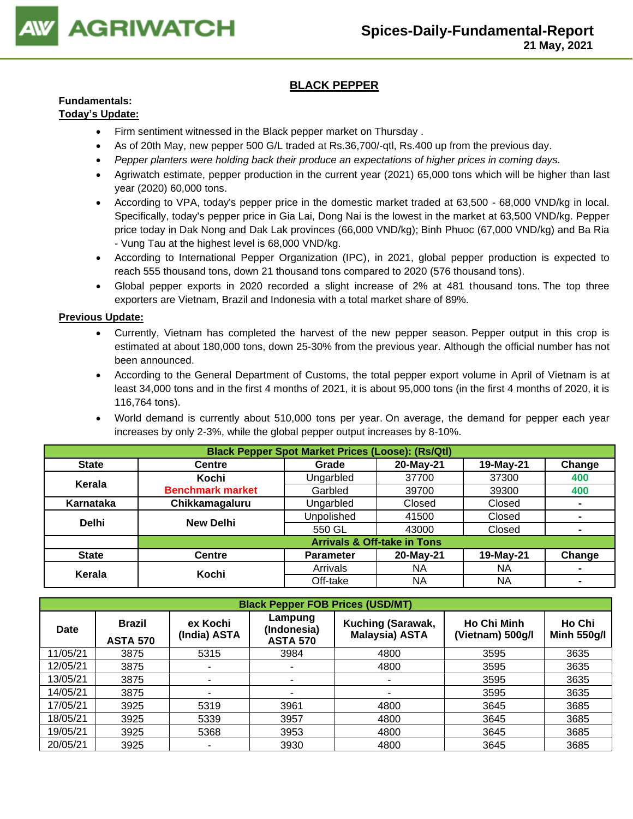

## **BLACK PEPPER**

## **Fundamentals:**

## **Today's Update:**

- Firm sentiment witnessed in the Black pepper market on Thursday .
- As of 20th May, new pepper 500 G/L traded at Rs.36,700/-qtl, Rs.400 up from the previous day.
- *Pepper planters were holding back their produce an expectations of higher prices in coming days.*
- Agriwatch estimate, pepper production in the current year (2021) 65,000 tons which will be higher than last year (2020) 60,000 tons.
- According to VPA, today's pepper price in the domestic market traded at 63,500 68,000 VND/kg in local. Specifically, today's pepper price in Gia Lai, Dong Nai is the lowest in the market at 63,500 VND/kg. Pepper price today in Dak Nong and Dak Lak provinces (66,000 VND/kg); Binh Phuoc (67,000 VND/kg) and Ba Ria - Vung Tau at the highest level is 68,000 VND/kg.
- According to International Pepper Organization (IPC), in 2021, global pepper production is expected to reach 555 thousand tons, down 21 thousand tons compared to 2020 (576 thousand tons).
- Global pepper exports in 2020 recorded a slight increase of 2% at 481 thousand tons. The top three exporters are Vietnam, Brazil and Indonesia with a total market share of 89%.

- Currently, Vietnam has completed the harvest of the new pepper season. Pepper output in this crop is estimated at about 180,000 tons, down 25-30% from the previous year. Although the official number has not been announced.
- According to the General Department of Customs, the total pepper export volume in April of Vietnam is at least 34,000 tons and in the first 4 months of 2021, it is about 95,000 tons (in the first 4 months of 2020, it is 116,764 tons).
- World demand is currently about 510,000 tons per year. On average, the demand for pepper each year increases by only 2-3%, while the global pepper output increases by 8-10%.

|              | <b>Black Pepper Spot Market Prices (Loose): (Rs/Qtl)</b> |                   |                                        |           |                |  |  |  |
|--------------|----------------------------------------------------------|-------------------|----------------------------------------|-----------|----------------|--|--|--|
| <b>State</b> | <b>Centre</b>                                            | Grade             | 20-May-21                              | 19-May-21 | Change         |  |  |  |
| Kerala       | Kochi                                                    | Ungarbled         | 37700                                  | 37300     | 400            |  |  |  |
|              | <b>Benchmark market</b>                                  | Garbled           | 39700                                  | 39300     | 400            |  |  |  |
| Karnataka    | Chikkamagaluru                                           | Ungarbled         | Closed                                 | Closed    | $\blacksquare$ |  |  |  |
| <b>Delhi</b> | <b>New Delhi</b>                                         | <b>Unpolished</b> | 41500                                  | Closed    | ٠              |  |  |  |
|              |                                                          | 550 GL            | 43000                                  | Closed    | ۰              |  |  |  |
|              |                                                          |                   | <b>Arrivals &amp; Off-take in Tons</b> |           |                |  |  |  |
| <b>State</b> | <b>Centre</b>                                            | <b>Parameter</b>  | 20-May-21                              | 19-May-21 | Change         |  |  |  |
| Kerala       | Kochi                                                    | Arrivals          | NA                                     | ΝA        | ۰              |  |  |  |
|              |                                                          | Off-take          | ΝA                                     | NA        |                |  |  |  |

| <b>Black Pepper FOB Prices (USD/MT)</b> |                                  |                          |                                           |                                            |                                        |                              |  |  |  |
|-----------------------------------------|----------------------------------|--------------------------|-------------------------------------------|--------------------------------------------|----------------------------------------|------------------------------|--|--|--|
| Date                                    | <b>Brazil</b><br><b>ASTA 570</b> | ex Kochi<br>(India) ASTA | Lampung<br>(Indonesia)<br><b>ASTA 570</b> | Kuching (Sarawak,<br><b>Malaysia) ASTA</b> | <b>Ho Chi Minh</b><br>(Vietnam) 500g/l | Ho Chi<br><b>Minh 550g/l</b> |  |  |  |
| 11/05/21                                | 3875                             | 5315                     | 3984                                      | 4800                                       | 3595                                   | 3635                         |  |  |  |
| 12/05/21                                | 3875                             |                          |                                           | 4800                                       | 3595                                   | 3635                         |  |  |  |
| 13/05/21                                | 3875                             |                          |                                           | ۰                                          | 3595                                   | 3635                         |  |  |  |
| 14/05/21                                | 3875                             |                          |                                           | ۰                                          | 3595                                   | 3635                         |  |  |  |
| 17/05/21                                | 3925                             | 5319                     | 3961                                      | 4800                                       | 3645                                   | 3685                         |  |  |  |
| 18/05/21                                | 3925                             | 5339                     | 3957                                      | 4800                                       | 3645                                   | 3685                         |  |  |  |
| 19/05/21                                | 3925                             | 5368                     | 3953                                      | 4800                                       | 3645                                   | 3685                         |  |  |  |
| 20/05/21                                | 3925                             |                          | 3930                                      | 4800                                       | 3645                                   | 3685                         |  |  |  |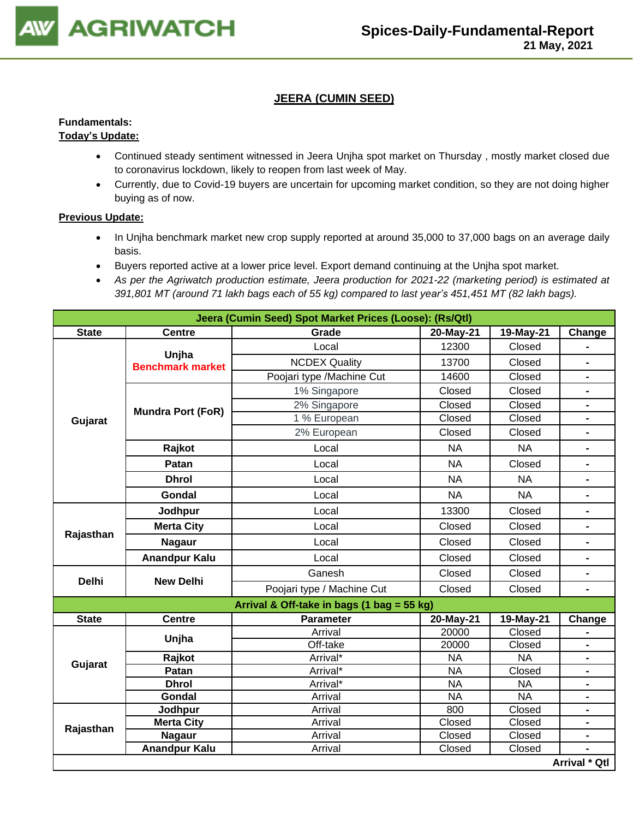

## **JEERA (CUMIN SEED)**

## **Fundamentals:**

## **Today's Update:**

- Continued steady sentiment witnessed in Jeera Unjha spot market on Thursday , mostly market closed due to coronavirus lockdown, likely to reopen from last week of May.
- Currently, due to Covid-19 buyers are uncertain for upcoming market condition, so they are not doing higher buying as of now.

- In Unjha benchmark market new crop supply reported at around 35,000 to 37,000 bags on an average daily basis.
- Buyers reported active at a lower price level. Export demand continuing at the Unjha spot market.
- *As per the Agriwatch production estimate, Jeera production for 2021-22 (marketing period) is estimated at 391,801 MT (around 71 lakh bags each of 55 kg) compared to last year's 451,451 MT (82 lakh bags).*

|              | Jeera (Cumin Seed) Spot Market Prices (Loose): (Rs/Qtl) |                                            |           |           |                              |  |  |  |
|--------------|---------------------------------------------------------|--------------------------------------------|-----------|-----------|------------------------------|--|--|--|
| <b>State</b> | <b>Centre</b>                                           | Grade                                      | 20-May-21 | 19-May-21 | Change                       |  |  |  |
|              |                                                         | Local                                      | 12300     | Closed    |                              |  |  |  |
|              | Unjha<br><b>Benchmark market</b>                        | <b>NCDEX Quality</b>                       | 13700     | Closed    | $\blacksquare$               |  |  |  |
|              |                                                         | Poojari type /Machine Cut                  | 14600     | Closed    | $\blacksquare$               |  |  |  |
|              |                                                         | 1% Singapore                               | Closed    | Closed    | $\blacksquare$               |  |  |  |
|              | <b>Mundra Port (FoR)</b>                                | 2% Singapore                               | Closed    | Closed    | $\qquad \qquad \blacksquare$ |  |  |  |
| Gujarat      |                                                         | 1 % European                               | Closed    | Closed    | $\blacksquare$               |  |  |  |
|              |                                                         | 2% European                                | Closed    | Closed    | $\overline{a}$               |  |  |  |
|              | Rajkot                                                  | Local                                      | <b>NA</b> | <b>NA</b> | $\blacksquare$               |  |  |  |
|              | Patan                                                   | Local                                      | <b>NA</b> | Closed    | $\blacksquare$               |  |  |  |
|              | <b>Dhrol</b>                                            | Local                                      | <b>NA</b> | <b>NA</b> | $\qquad \qquad \blacksquare$ |  |  |  |
|              | Gondal                                                  | Local                                      | <b>NA</b> | <b>NA</b> | $\blacksquare$               |  |  |  |
|              | Jodhpur                                                 | Local                                      | 13300     | Closed    | $\blacksquare$               |  |  |  |
|              | <b>Merta City</b>                                       | Local                                      | Closed    | Closed    | $\qquad \qquad \blacksquare$ |  |  |  |
| Rajasthan    | <b>Nagaur</b>                                           | Local                                      | Closed    | Closed    | $\blacksquare$               |  |  |  |
|              | <b>Anandpur Kalu</b>                                    | Local                                      | Closed    | Closed    | $\qquad \qquad \blacksquare$ |  |  |  |
| <b>Delhi</b> |                                                         | Ganesh                                     | Closed    | Closed    | $\blacksquare$               |  |  |  |
|              | <b>New Delhi</b>                                        | Poojari type / Machine Cut                 | Closed    | Closed    | $\frac{1}{2}$                |  |  |  |
|              |                                                         | Arrival & Off-take in bags (1 bag = 55 kg) |           |           |                              |  |  |  |
| <b>State</b> | <b>Centre</b>                                           | <b>Parameter</b>                           | 20-May-21 | 19-May-21 | Change                       |  |  |  |
|              | Unjha                                                   | Arrival                                    | 20000     | Closed    |                              |  |  |  |
|              |                                                         | Off-take                                   | 20000     | Closed    | $\blacksquare$               |  |  |  |
| Gujarat      | Rajkot                                                  | Arrival*                                   | <b>NA</b> | <b>NA</b> | $\blacksquare$               |  |  |  |
|              | Patan                                                   | Arrival*                                   | <b>NA</b> | Closed    |                              |  |  |  |
|              | <b>Dhrol</b>                                            | Arrival*                                   | <b>NA</b> | <b>NA</b> | $\blacksquare$               |  |  |  |
|              | Gondal                                                  | Arrival                                    | <b>NA</b> | <b>NA</b> | $\blacksquare$               |  |  |  |
|              | Jodhpur                                                 | Arrival                                    | 800       | Closed    | $\overline{a}$               |  |  |  |
| Rajasthan    | <b>Merta City</b>                                       | Arrival                                    | Closed    | Closed    | $\blacksquare$               |  |  |  |
|              | <b>Nagaur</b>                                           | Arrival                                    | Closed    | Closed    | $\qquad \qquad \blacksquare$ |  |  |  |
|              | <b>Anandpur Kalu</b>                                    | Arrival                                    | Closed    | Closed    | $\frac{1}{2}$                |  |  |  |
|              |                                                         |                                            |           |           | <b>Arrival * Qtl</b>         |  |  |  |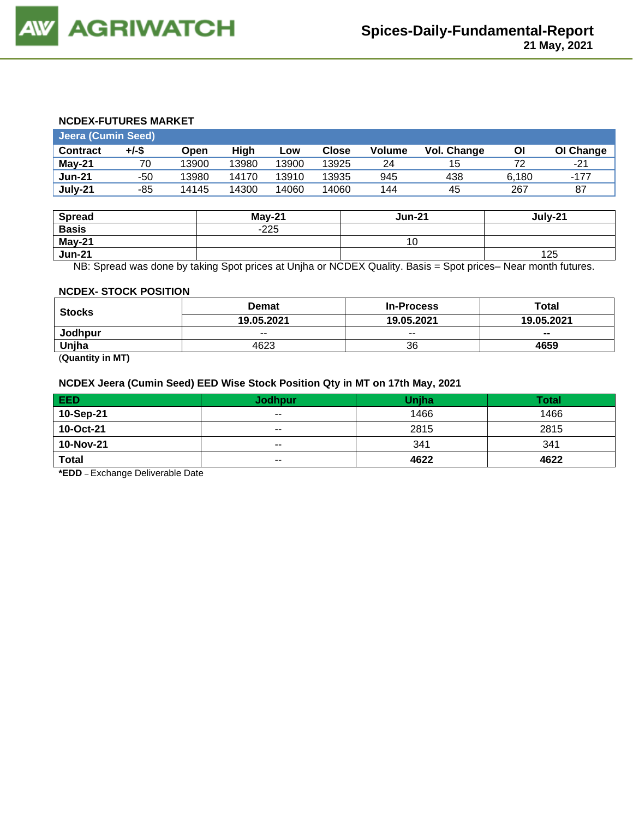#### **NCDEX-FUTURES MARKET**

| <b>Jeera (Cumin Seed)</b> |       |       |       |       |              |        |                    |       |           |
|---------------------------|-------|-------|-------|-------|--------------|--------|--------------------|-------|-----------|
| <b>Contract</b>           | +/-\$ | Open  | Hiah  | LOW   | <b>Close</b> | Volume | <b>Vol. Change</b> | Οl    | OI Change |
| May-21                    | 70    | 13900 | 13980 | 13900 | 13925        | 24     | 15                 | 72    | $-21$     |
| <b>Jun-21</b>             | -50   | 13980 | 14170 | 13910 | 13935        | 945    | 438                | 6.180 | $-177$    |
| July-21                   | -85   | 14145 | 14300 | 14060 | 14060        | 144    | 45                 | 267   | 87        |

| <b>Spread</b> | $May-21$ | <b>Jun-21</b> | July-21 |
|---------------|----------|---------------|---------|
| <b>Basis</b>  | $-225$   |               |         |
| May-21        |          | 10            |         |
| <b>Jun-21</b> |          |               | 125     |

NB: Spread was done by taking Spot prices at Unjha or NCDEX Quality. Basis = Spot prices– Near month futures.

#### **NCDEX- STOCK POSITION**

| <b>Stocks</b> | <b>Demat</b> | <b>In-Process</b> | Total      |
|---------------|--------------|-------------------|------------|
|               | 19.05.2021   | 19.05.2021        | 19.05.2021 |
| Jodhpur       | $- -$        | $- -$             | $- -$      |
| Uniha         | 4623         | 36                | 4659       |

(**Quantity in MT)**

#### **NCDEX Jeera (Cumin Seed) EED Wise Stock Position Qty in MT on 17th May, 2021**

| <b>EED</b>   | <b>Jodhpur</b> | <b>Unjha</b> | <b>Total</b> |
|--------------|----------------|--------------|--------------|
| 10-Sep-21    | $\sim$ $\sim$  | 1466         | 1466         |
| 10-Oct-21    | $\sim$ $\sim$  | 2815         | 2815         |
| 10-Nov-21    | $- -$          | 341          | 341          |
| <b>Total</b> | $- -$          | 4622         | 4622         |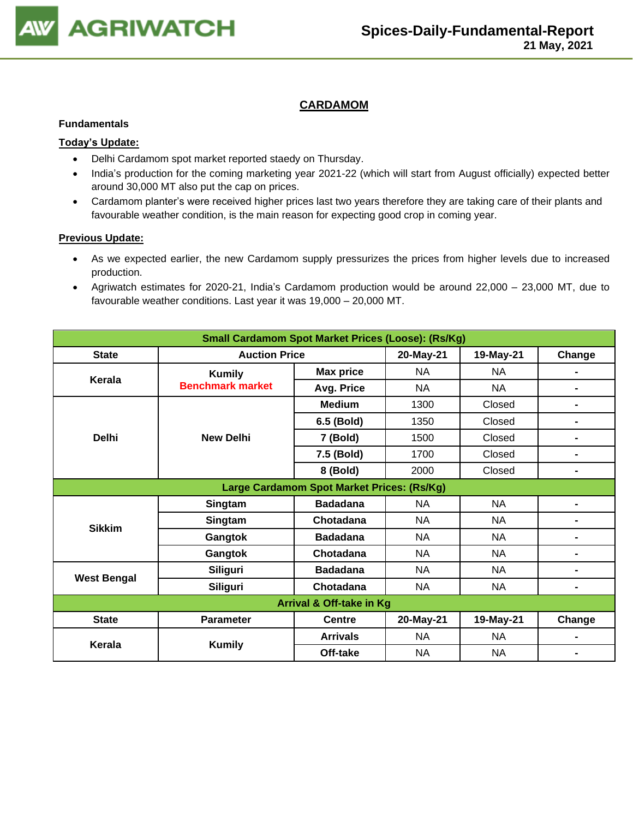

## **CARDAMOM**

#### **Fundamentals**

### **Today's Update:**

- Delhi Cardamom spot market reported staedy on Thursday.
- India's production for the coming marketing year 2021-22 (which will start from August officially) expected better around 30,000 MT also put the cap on prices.
- Cardamom planter's were received higher prices last two years therefore they are taking care of their plants and favourable weather condition, is the main reason for expecting good crop in coming year.

- As we expected earlier, the new Cardamom supply pressurizes the prices from higher levels due to increased production.
- Agriwatch estimates for 2020-21, India's Cardamom production would be around 22,000 23,000 MT, due to favourable weather conditions. Last year it was 19,000 – 20,000 MT.

| <b>Small Cardamom Spot Market Prices (Loose): (Rs/Kg)</b> |                         |                                            |           |           |                |  |  |
|-----------------------------------------------------------|-------------------------|--------------------------------------------|-----------|-----------|----------------|--|--|
| <b>State</b>                                              | <b>Auction Price</b>    |                                            | 20-May-21 | 19-May-21 | Change         |  |  |
|                                                           | <b>Kumily</b>           | <b>Max price</b>                           | <b>NA</b> | NA        |                |  |  |
| Kerala                                                    | <b>Benchmark market</b> | Avg. Price                                 | <b>NA</b> | NA        | $\blacksquare$ |  |  |
|                                                           |                         | <b>Medium</b>                              | 1300      | Closed    | $\blacksquare$ |  |  |
|                                                           |                         | 6.5 (Bold)                                 | 1350      | Closed    | $\blacksquare$ |  |  |
| <b>Delhi</b>                                              | <b>New Delhi</b>        | 7 (Bold)                                   | 1500      | Closed    | $\blacksquare$ |  |  |
|                                                           |                         | 7.5 (Bold)                                 | 1700      | Closed    | $\blacksquare$ |  |  |
|                                                           |                         | 8 (Bold)                                   | 2000      | Closed    | $\blacksquare$ |  |  |
|                                                           |                         | Large Cardamom Spot Market Prices: (Rs/Kg) |           |           |                |  |  |
|                                                           | Singtam                 | <b>Badadana</b>                            | <b>NA</b> | NA        | $\blacksquare$ |  |  |
| <b>Sikkim</b>                                             | Singtam                 | Chotadana                                  | <b>NA</b> | <b>NA</b> | $\blacksquare$ |  |  |
|                                                           | Gangtok                 | <b>Badadana</b>                            | <b>NA</b> | NA        | $\blacksquare$ |  |  |
|                                                           | Gangtok                 | Chotadana                                  | <b>NA</b> | <b>NA</b> | $\blacksquare$ |  |  |
|                                                           | <b>Siliguri</b>         | <b>Badadana</b>                            | <b>NA</b> | <b>NA</b> | $\blacksquare$ |  |  |
| <b>West Bengal</b>                                        | Siliguri                | Chotadana                                  | <b>NA</b> | NA        | $\blacksquare$ |  |  |
| <b>Arrival &amp; Off-take in Kg</b>                       |                         |                                            |           |           |                |  |  |
| <b>State</b>                                              | <b>Parameter</b>        | <b>Centre</b>                              | 20-May-21 | 19-May-21 | Change         |  |  |
| Kerala                                                    |                         | <b>Arrivals</b>                            | <b>NA</b> | NA        | $\blacksquare$ |  |  |
|                                                           | <b>Kumily</b>           | Off-take                                   | <b>NA</b> | <b>NA</b> | $\blacksquare$ |  |  |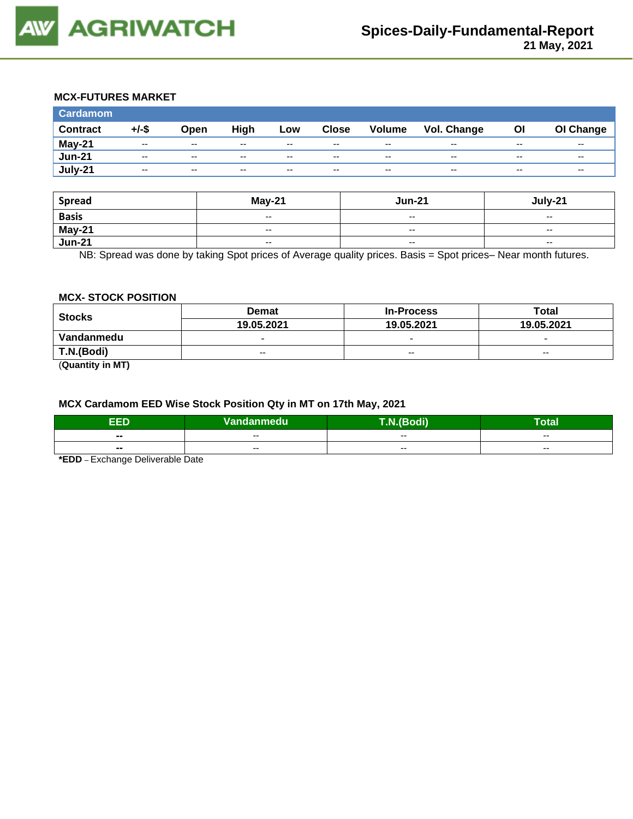

## **MCX-FUTURES MARKET**

| <b>Cardamom</b> |          |               |       |       |              |        |             |       |           |
|-----------------|----------|---------------|-------|-------|--------------|--------|-------------|-------|-----------|
| <b>Contract</b> | $+/-$ \$ | Open          | High  | Low   | <b>Close</b> | Volume | Vol. Change | ΟI    | OI Change |
| May-21          | $- -$    | $- -$         | $- -$ | $- -$ | $- -$        | $- -$  | $- -$       | $- -$ | $- -$     |
| <b>Jun-21</b>   | $- -$    | $- -$         | $- -$ | $- -$ | $- -$        | $- -$  | $- -$       | $- -$ | $- -$     |
| July-21         | $- -$    | $\sim$ $\sim$ | $- -$ | $- -$ | $- -$        | $- -$  | --          | $- -$ | --        |

| <b>Spread</b>           | <b>May-21</b>                                  | <b>Jun-21</b>            | July-21                  |  |
|-------------------------|------------------------------------------------|--------------------------|--------------------------|--|
| <b>Basis</b>            | $\hspace{0.1mm}-\hspace{0.1mm}-\hspace{0.1mm}$ | $\overline{\phantom{a}}$ | $\overline{\phantom{a}}$ |  |
| <b>May-21</b><br>Jun-21 | $\hspace{0.1mm}-\hspace{0.1mm}-\hspace{0.1mm}$ | $-$                      | $\sim$ $\sim$            |  |
|                         | $\overline{\phantom{a}}$                       | $\overline{\phantom{a}}$ | $\overline{\phantom{a}}$ |  |

NB: Spread was done by taking Spot prices of Average quality prices. Basis = Spot prices– Near month futures.

#### **MCX- STOCK POSITION**

| <b>Stocks</b> | <b>Demat</b>             | <b>In-Process</b>        | Total                    |  |
|---------------|--------------------------|--------------------------|--------------------------|--|
|               | 19.05.2021               | 19.05.2021               | 19.05.2021               |  |
| Vandanmedu    | $\overline{\phantom{0}}$ | $\overline{\phantom{0}}$ | $\overline{\phantom{0}}$ |  |
| T.N.(Bodi)    | $- -$                    | $- -$                    | $\overline{\phantom{a}}$ |  |

(**Quantity in MT)**

#### **MCX Cardamom EED Wise Stock Position Qty in MT on 17th May, 2021**

| ææ     | Vandanmedu | <b><i><u>BOX</u></i></b><br>. | Гоtal |
|--------|------------|-------------------------------|-------|
| $\sim$ | $- -$      | $- -$                         | $- -$ |
| $\sim$ | --         | --                            | $- -$ |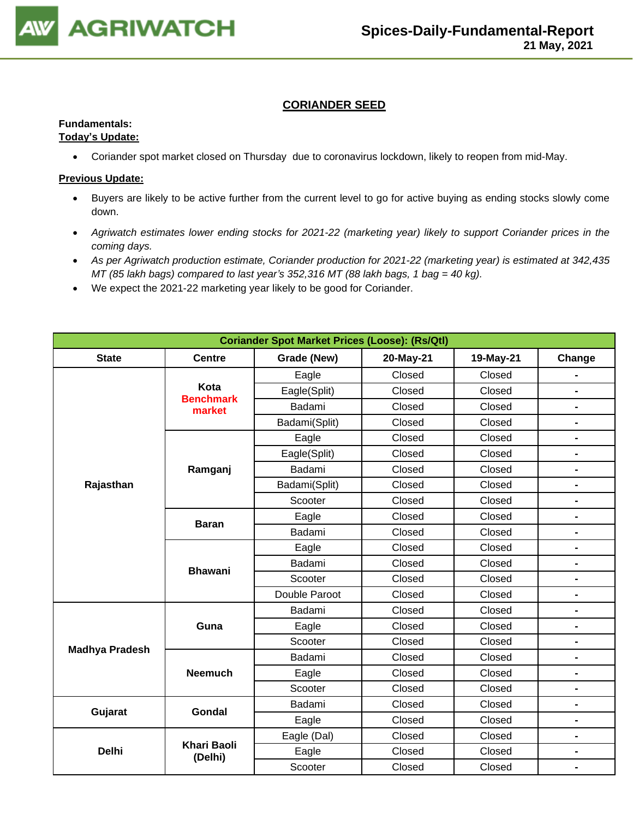

## **CORIANDER SEED**

## **Fundamentals:**

#### **Today's Update:**

• Coriander spot market closed on Thursday due to coronavirus lockdown, likely to reopen from mid-May.

- Buyers are likely to be active further from the current level to go for active buying as ending stocks slowly come down.
- *Agriwatch estimates lower ending stocks for 2021-22 (marketing year) likely to support Coriander prices in the coming days.*
- *As per Agriwatch production estimate, Coriander production for 2021-22 (marketing year) is estimated at 342,435 MT (85 lakh bags) compared to last year's 352,316 MT (88 lakh bags, 1 bag = 40 kg).*
- We expect the 2021-22 marketing year likely to be good for Coriander.

| <b>Coriander Spot Market Prices (Loose): (Rs/Qtl)</b> |                               |               |           |           |                |  |
|-------------------------------------------------------|-------------------------------|---------------|-----------|-----------|----------------|--|
| <b>State</b>                                          | <b>Centre</b>                 | Grade (New)   | 20-May-21 | 19-May-21 | Change         |  |
|                                                       |                               | Eagle         | Closed    | Closed    |                |  |
|                                                       | Kota                          | Eagle(Split)  | Closed    | Closed    | $\blacksquare$ |  |
|                                                       | <b>Benchmark</b><br>market    | Badami        | Closed    | Closed    | $\blacksquare$ |  |
|                                                       |                               | Badami(Split) | Closed    | Closed    | $\blacksquare$ |  |
|                                                       |                               | Eagle         | Closed    | Closed    | $\blacksquare$ |  |
|                                                       |                               | Eagle(Split)  | Closed    | Closed    | $\blacksquare$ |  |
|                                                       | Ramganj                       | Badami        | Closed    | Closed    | $\blacksquare$ |  |
| Rajasthan                                             |                               | Badami(Split) | Closed    | Closed    | $\blacksquare$ |  |
|                                                       |                               | Scooter       | Closed    | Closed    | $\blacksquare$ |  |
|                                                       | <b>Baran</b>                  | Eagle         | Closed    | Closed    | $\blacksquare$ |  |
|                                                       |                               | Badami        | Closed    | Closed    | $\blacksquare$ |  |
|                                                       | <b>Bhawani</b>                | Eagle         | Closed    | Closed    | $\blacksquare$ |  |
|                                                       |                               | Badami        | Closed    | Closed    | -              |  |
|                                                       |                               | Scooter       | Closed    | Closed    | -              |  |
|                                                       |                               | Double Paroot | Closed    | Closed    | -              |  |
|                                                       |                               | Badami        | Closed    | Closed    | $\blacksquare$ |  |
|                                                       | Guna                          | Eagle         | Closed    | Closed    | -              |  |
| <b>Madhya Pradesh</b>                                 |                               | Scooter       | Closed    | Closed    | $\blacksquare$ |  |
|                                                       |                               | Badami        | Closed    | Closed    | -              |  |
|                                                       | <b>Neemuch</b>                | Eagle         | Closed    | Closed    | $\blacksquare$ |  |
|                                                       |                               | Scooter       | Closed    | Closed    | $\overline{a}$ |  |
| Gujarat                                               | Gondal                        | Badami        | Closed    | Closed    | -              |  |
|                                                       |                               | Eagle         | Closed    | Closed    | -              |  |
|                                                       |                               | Eagle (Dal)   | Closed    | Closed    | $\blacksquare$ |  |
| <b>Delhi</b>                                          | <b>Khari Baoli</b><br>(Delhi) | Eagle         | Closed    | Closed    | $\blacksquare$ |  |
|                                                       |                               | Scooter       | Closed    | Closed    |                |  |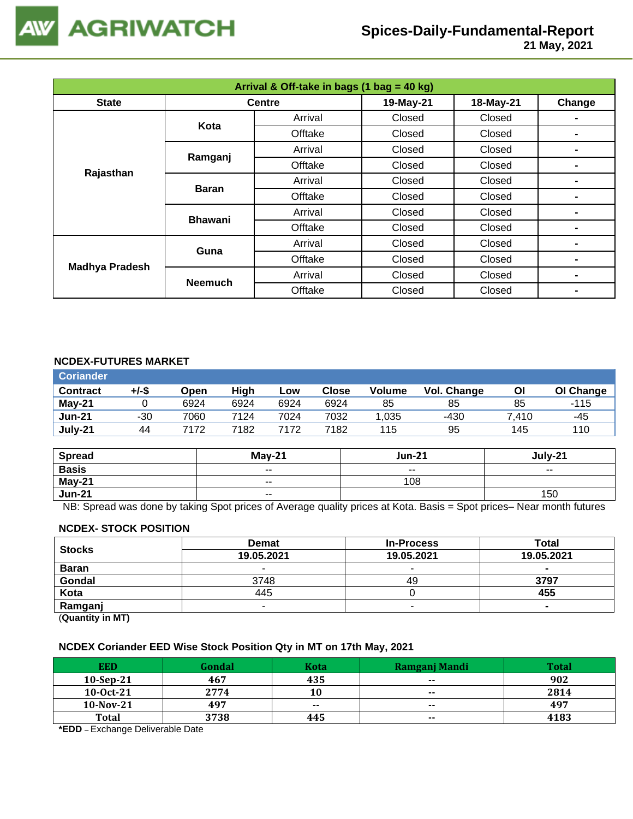

 **21 May, 2021**

| Arrival & Off-take in bags (1 bag = 40 kg) |                |               |           |           |        |  |
|--------------------------------------------|----------------|---------------|-----------|-----------|--------|--|
| <b>State</b>                               |                | <b>Centre</b> | 19-May-21 | 18-May-21 | Change |  |
| Kota                                       | Arrival        | Closed        | Closed    |           |        |  |
|                                            |                | Offtake       | Closed    | Closed    | -      |  |
|                                            |                | Arrival       | Closed    | Closed    |        |  |
| Rajasthan                                  | Ramganj        | Offtake       | Closed    | Closed    | ۰      |  |
|                                            | <b>Baran</b>   | Arrival       | Closed    | Closed    | -      |  |
|                                            |                | Offtake       | Closed    | Closed    |        |  |
|                                            | <b>Bhawani</b> | Arrival       | Closed    | Closed    | ۰      |  |
|                                            |                | Offtake       | Closed    | Closed    | ۰      |  |
| <b>Madhya Pradesh</b>                      | Guna           | Arrival       | Closed    | Closed    |        |  |
|                                            |                | Offtake       | Closed    | Closed    | -      |  |
|                                            |                | Arrival       | Closed    | Closed    | ۰      |  |
|                                            | <b>Neemuch</b> | Offtake       | Closed    | Closed    | ۰      |  |

### **NCDEX-FUTURES MARKET**

| +/-\$<br><b>Contract</b> | Open | High | Low  | Close | <b>Volume</b> | Vol. Change | Οl    | OI Change |
|--------------------------|------|------|------|-------|---------------|-------------|-------|-----------|
| $May-21$                 | 6924 | 6924 | 6924 | 6924  | 85            | 85          | 85    | $-115$    |
| <b>Jun-21</b><br>-30     | 7060 | 7124 | 7024 | 7032  | 1.035         | -430        | 7.410 | -45       |
| July-21<br>44            | 7172 | 7182 | 7172 | 7182  | 115           | 95          | 145   | 110       |

| <b>Spread</b> | $May-21$ | <b>Jun-21</b>            | July-21                  |
|---------------|----------|--------------------------|--------------------------|
| <b>Basis</b>  | $ -$     | $\overline{\phantom{a}}$ | $\overline{\phantom{a}}$ |
| May-21        | $ -$     | 108                      |                          |
| <b>Jun-21</b> | $ -$     |                          | 150                      |

NB: Spread was done by taking Spot prices of Average quality prices at Kota. Basis = Spot prices– Near month futures

#### **NCDEX- STOCK POSITION**

| <b>Stocks</b> | <b>Demat</b> | <b>In-Process</b> | Total      |
|---------------|--------------|-------------------|------------|
|               | 19.05.2021   | 19.05.2021        | 19.05.2021 |
| <b>Baran</b>  |              |                   | $\sim$     |
| Gondal        | 3748         | 49                | 3797       |
| Kota          | 445          |                   | 455        |
| Ramganj       |              |                   |            |
|               |              |                   |            |

(**Quantity in MT)**

#### **NCDEX Coriander EED Wise Stock Position Qty in MT on 17th May, 2021**

| <b>EED</b>   | Gondal | Kota  | Ramgani Mandi | <b>Total</b> |
|--------------|--------|-------|---------------|--------------|
| $10-Sep-21$  | 467    | 435   | $- -$         | 902          |
| $10-0ct-21$  | 2774   | 10    | $- -$         | 2814         |
| $10$ -Nov-21 | 497    | $- -$ | $\sim$        | 497          |
| <b>Total</b> | 3738   | 445   | $- -$         | 4183         |